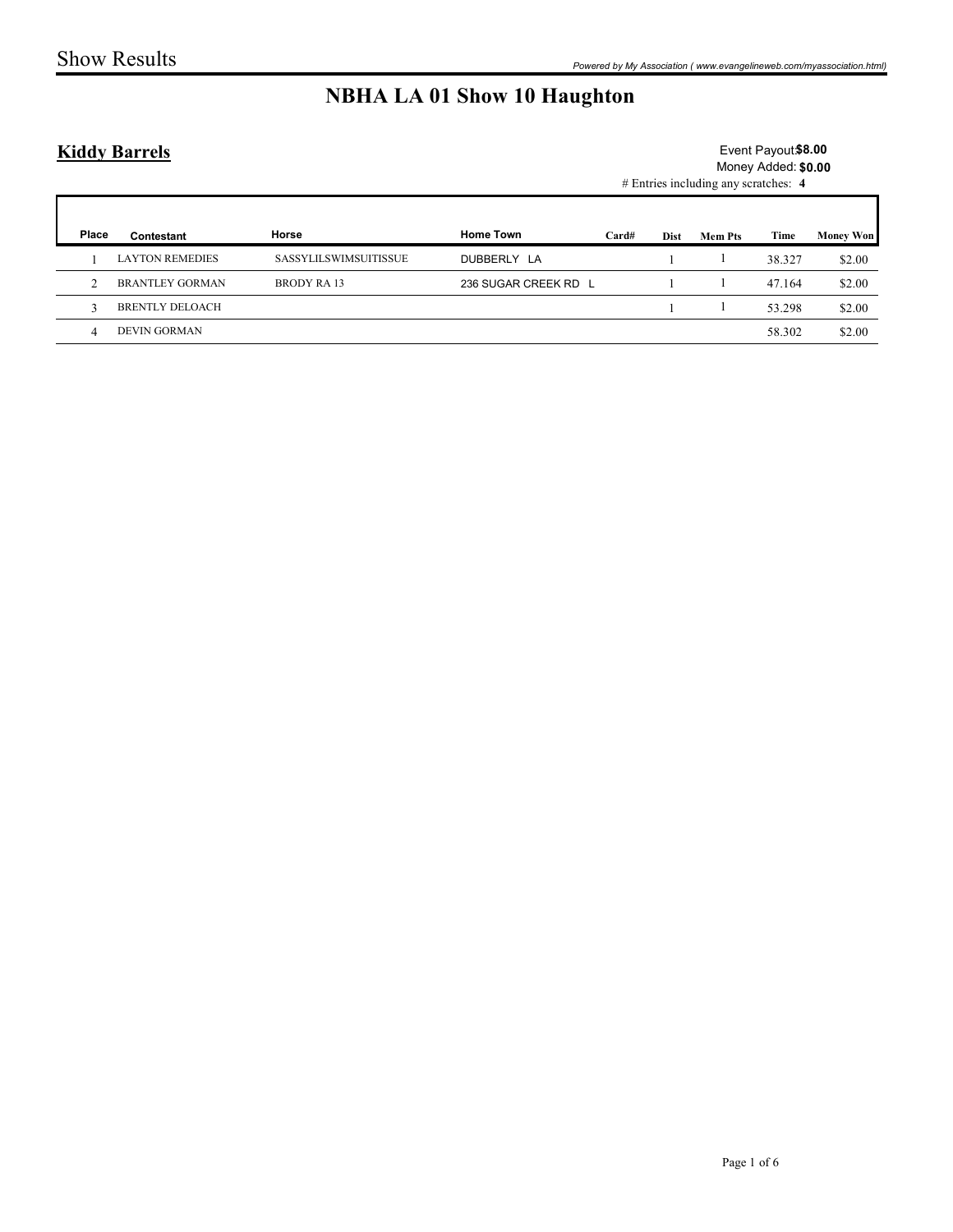### Kiddy Barrels

|       | <b>Show Results</b>    |                       |                                    |                |                                                                      |                     |                  |
|-------|------------------------|-----------------------|------------------------------------|----------------|----------------------------------------------------------------------|---------------------|------------------|
|       |                        |                       |                                    |                |                                                                      |                     |                  |
|       |                        |                       |                                    |                |                                                                      |                     |                  |
|       |                        |                       |                                    |                | Powered by My Association (www.evangelineweb.com/myassociation.html) |                     |                  |
|       |                        |                       | <b>NBHA LA 01 Show 10 Haughton</b> |                |                                                                      |                     |                  |
|       |                        |                       |                                    |                |                                                                      |                     |                  |
|       | <b>Kiddy Barrels</b>   |                       |                                    |                |                                                                      | Event Payout \$8.00 |                  |
|       |                        |                       |                                    |                | # Entries including any scratches: 4                                 | Money Added: \$0.00 |                  |
|       |                        |                       |                                    |                |                                                                      |                     |                  |
| Place | Contestant             | Horse                 | <b>Home Town</b>                   | Card#<br>Dist  | <b>Mem Pts</b>                                                       | Time                | <b>Money Won</b> |
|       | <b>LAYTON REMEDIES</b> | SASSYLILSWIMSUITISSUE | DUBBERLY LA                        | -1             | -1                                                                   | 38.327              | \$2.00           |
| -1    |                        | <b>BRODY RA13</b>     | 236 SUGAR CREEK RD L               | $\overline{1}$ | -1                                                                   | 47.164              | \$2.00           |
| 2     | <b>BRANTLEY GORMAN</b> |                       |                                    |                |                                                                      | 53.298              | \$2.00           |
| 3     | <b>BRENTLY DELOACH</b> |                       |                                    | -1             | -1                                                                   |                     |                  |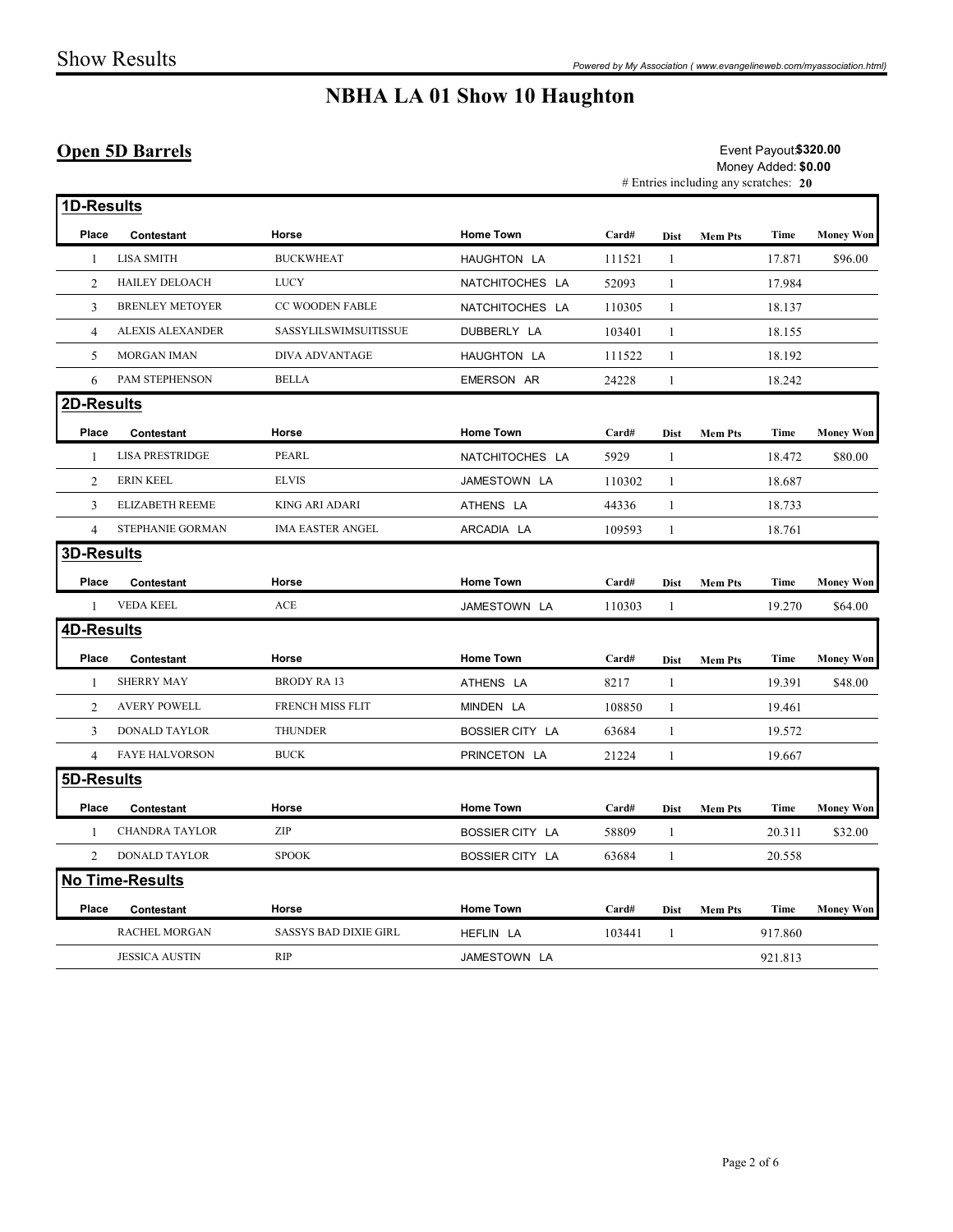#### Open 5D Barrels

|                |                                               |                              | <b>NBHA LA 01 Show 10 Haughton</b> |                                                                                       |                |                |                    |                  |  |  |
|----------------|-----------------------------------------------|------------------------------|------------------------------------|---------------------------------------------------------------------------------------|----------------|----------------|--------------------|------------------|--|--|
|                | <b>Open 5D Barrels</b>                        |                              |                                    | Event Payout \$320.00<br>Money Added: \$0.00<br># Entries including any scratches: 20 |                |                |                    |                  |  |  |
|                | 1D-Results                                    |                              |                                    |                                                                                       |                |                |                    |                  |  |  |
| Place          | Contestant                                    | Horse                        | <b>Home Town</b>                   | Card#                                                                                 |                | Dist Mem Pts   | Time               | <b>Money Won</b> |  |  |
|                | <b>LISA SMITH</b>                             | <b>BUCKWHEAT</b>             | HAUGHTON LA                        | 111521                                                                                |                |                | 17.871             | \$96.00          |  |  |
| 2              | <b>HAILEY DELOACH</b>                         | <b>LUCY</b>                  | NATCHITOCHES LA                    | 52093                                                                                 |                |                | 17.984             |                  |  |  |
| 3              | <b>BRENLEY METOYER</b>                        | CC WOODEN FABLE              | NATCHITOCHES LA                    | 110305                                                                                |                |                | 18.137             |                  |  |  |
| $\overline{4}$ | ALEXIS ALEXANDER                              | SASSYLILSWIMSUITISSUE        | DUBBERLY LA                        | 103401                                                                                |                |                | 18.155             |                  |  |  |
| 5              | MORGAN IMAN                                   | DIVA ADVANTAGE               | HAUGHTON LA                        | 111522                                                                                |                |                | 18.192             |                  |  |  |
| 6              | PAM STEPHENSON                                | <b>BELLA</b>                 | EMERSON AR                         | 24228                                                                                 |                |                | 18.242             |                  |  |  |
| 2D-Results     |                                               |                              |                                    |                                                                                       |                |                |                    |                  |  |  |
| Place          | Contestant                                    | Horse                        | <b>Home Town</b>                   | Card#                                                                                 | Dist           | <b>Mem Pts</b> | Time               | <b>Money Won</b> |  |  |
|                | <b>LISA PRESTRIDGE</b>                        | PEARL                        | NATCHITOCHES LA                    | 5929                                                                                  |                |                | 18.472             | \$80.00          |  |  |
| 2              | <b>ERIN KEEL</b>                              | <b>ELVIS</b>                 | JAMESTOWN LA                       | 110302                                                                                |                |                | 18.687             |                  |  |  |
| 3              | <b>ELIZABETH REEME</b>                        | KING ARI ADARI               | ATHENS LA                          | 44336                                                                                 |                |                | 18.733             |                  |  |  |
|                | 4 STEPHANIE GORMAN                            | IMA EASTER ANGEL             | ARCADIA LA                         | 109593                                                                                | $\overline{1}$ |                | 18.761             |                  |  |  |
|                | 3D-Results                                    |                              |                                    |                                                                                       |                |                |                    |                  |  |  |
|                | Place Contestant                              | Horse                        | <b>Home Town</b>                   | Card#                                                                                 |                | Dist Mem Pts   |                    | Time Money Won   |  |  |
|                | 1 VEDA KEEL                                   | ACE                          | JAMESTOWN LA                       | 110303                                                                                | -1             |                | 19.270             | \$64.00          |  |  |
|                | <b>4D-Results</b>                             |                              |                                    |                                                                                       |                |                |                    |                  |  |  |
|                | Place Contestant                              | Horse                        | <b>Home Town</b>                   | Card#                                                                                 |                | Dist Mem Pts   | Time               | <b>Money Won</b> |  |  |
|                | <b>SHERRY MAY</b>                             | <b>BRODY RA 13</b>           | ATHENS LA                          | 8217                                                                                  |                |                | 19.391             | \$48.00          |  |  |
|                | 2 AVERY POWELL                                | FRENCH MISS FLIT             | MINDEN LA                          | 108850                                                                                | -1             |                | 19.461             |                  |  |  |
|                | 3 DONALD TAYLOR                               | <b>THUNDER</b>               | BOSSIER CITY LA                    | 63684                                                                                 |                |                | 19.572             |                  |  |  |
| $\overline{4}$ | <b>FAYE HALVORSON</b>                         | BUCK                         | PRINCETON LA                       | 21224                                                                                 | 1              |                | 19.667             |                  |  |  |
|                | 5D-Results                                    |                              |                                    |                                                                                       |                |                |                    |                  |  |  |
|                | Place Contestant                              | Horse                        | <b>Home Town</b>                   | Card#                                                                                 |                | Dist Mem Pts   | Time               | <b>Money Won</b> |  |  |
| $\mathbf{1}$   | <b>CHANDRA TAYLOR</b>                         | ZIP                          | BOSSIER CITY LA                    | 58809                                                                                 |                |                | 20.311             | \$32.00          |  |  |
|                | 2 DONALD TAYLOR                               | <b>SPOOK</b>                 | <b>BOSSIER CITY LA</b>             | 63684                                                                                 |                |                | 20.558             |                  |  |  |
|                | <b>No Time-Results</b>                        |                              |                                    |                                                                                       |                |                |                    |                  |  |  |
|                |                                               |                              |                                    |                                                                                       |                |                |                    |                  |  |  |
| Place          | Contestant                                    | Horse                        | <b>Home Town</b>                   | Card#                                                                                 |                | Dist Mem Pts   |                    | Time Money Won   |  |  |
|                | <b>RACHEL MORGAN</b><br><b>JESSICA AUSTIN</b> | SASSYS BAD DIXIE GIRL<br>RIP | HEFLIN LA<br>JAMESTOWN LA          | 103441                                                                                | - 1            |                | 917.860<br>921.813 |                  |  |  |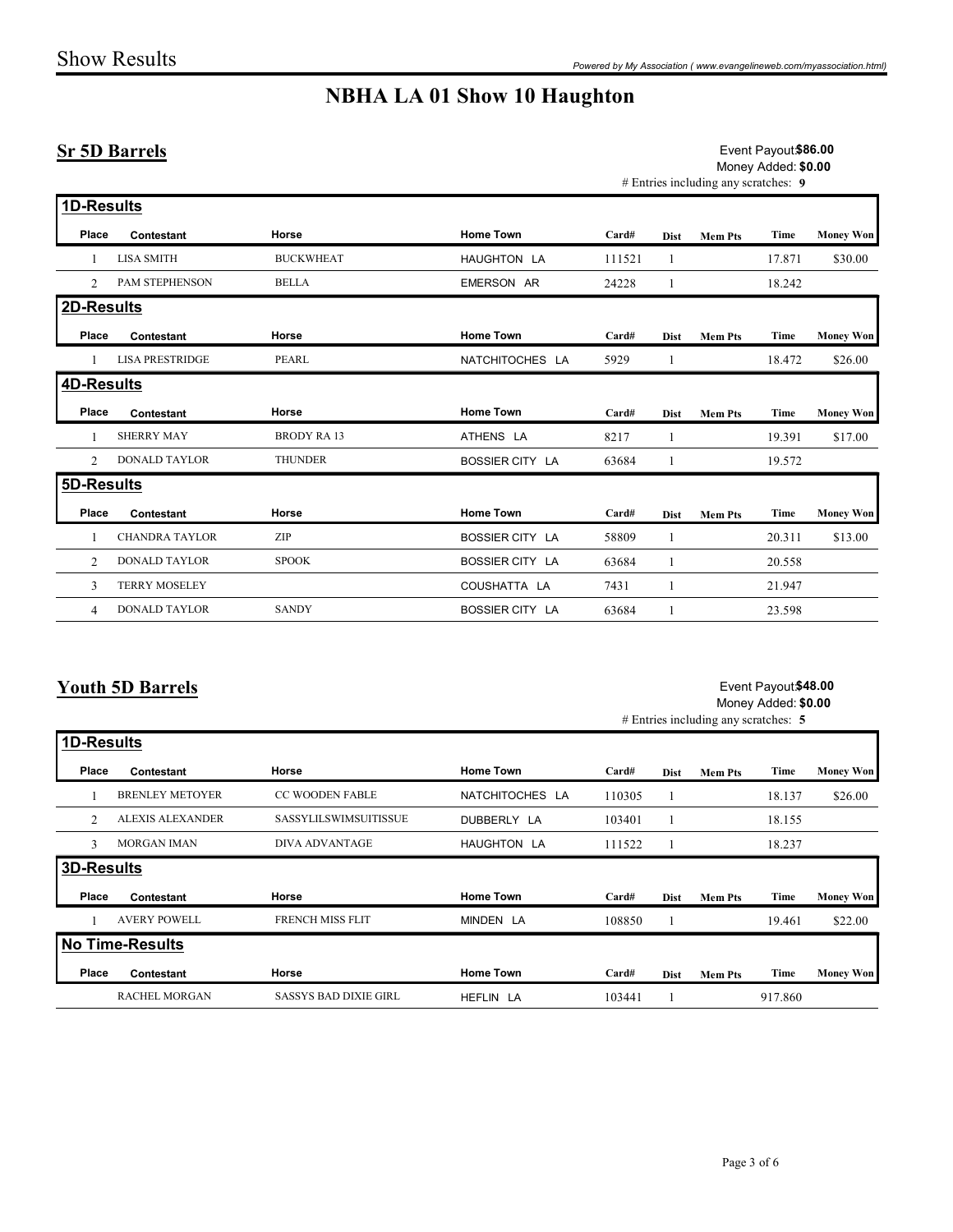#### Sr 5D Barrels

|                   |                         |                             | <b>NBHA LA 01 Show 10 Haughton</b> |        |              | Powered by My Association (www.evangelineweb.com/myassociation.html) |                                             |                  |
|-------------------|-------------------------|-----------------------------|------------------------------------|--------|--------------|----------------------------------------------------------------------|---------------------------------------------|------------------|
|                   | <b>Sr 5D Barrels</b>    |                             |                                    |        |              | # Entries including any scratches: 9                                 | Event Payout \$86.00<br>Money Added: \$0.00 |                  |
| 1D-Results        |                         |                             |                                    |        |              |                                                                      |                                             |                  |
| Place             | Contestant              | Horse                       | <b>Home Town</b>                   | Card#  |              | Dist Mem Pts                                                         | Time                                        | <b>Money Won</b> |
| -1                | LISA SMITH              | <b>BUCKWHEAT</b>            | HAUGHTON LA                        | 111521 | -1           |                                                                      | 17.871                                      | \$30.00          |
| 2                 | PAM STEPHENSON          | <b>BELLA</b>                | EMERSON AR                         | 24228  |              |                                                                      | 18.242                                      |                  |
| 2D-Results        |                         |                             |                                    |        |              |                                                                      |                                             |                  |
| Place             | Contestant              | Horse                       | <b>Home Town</b>                   | Card#  | <b>Dist</b>  | <b>Mem Pts</b>                                                       | Time                                        | <b>Money Won</b> |
| -1                | LISA PRESTRIDGE         | PEARL                       | NATCHITOCHES LA                    | 5929   | -1           |                                                                      | 18.472                                      | \$26.00          |
| 4D-Results        |                         |                             |                                    |        |              |                                                                      |                                             |                  |
| Place             | Contestant              | Horse                       | <b>Home Town</b>                   | Card#  | <b>Dist</b>  | <b>Mem Pts</b>                                                       | Time                                        | <b>Money Won</b> |
| -1                | <b>SHERRY MAY</b>       | <b>BRODY RA13</b>           | ATHENS LA                          | 8217   |              |                                                                      | 19.391                                      | \$17.00          |
| 2                 | <b>DONALD TAYLOR</b>    | <b>THUNDER</b>              | BOSSIER CITY LA                    | 63684  |              |                                                                      | 19.572                                      |                  |
| 5D-Results        |                         |                             |                                    |        |              |                                                                      |                                             |                  |
| Place             | Contestant              | Horse                       | <b>Home Town</b>                   | Card#  | Dist         | Mem Pts                                                              | Time                                        | <b>Money Won</b> |
| -1                | <b>CHANDRA TAYLOR</b>   | $\ensuremath{\mathrm{ZIP}}$ | BOSSIER CITY LA                    | 58809  |              |                                                                      | 20.311                                      | \$13.00          |
| 2                 | DONALD TAYLOR           | $\operatorname{SPOOK}$      | BOSSIER CITY LA                    | 63684  | 1            |                                                                      | 20.558                                      |                  |
| $\mathbf{3}$      | <b>TERRY MOSELEY</b>    |                             | COUSHATTA LA                       | 7431   | 1            |                                                                      | 21.947                                      |                  |
| $\overline{4}$    | DONALD TAYLOR           | SANDY                       | BOSSIER CITY LA                    | 63684  | $\mathbf{1}$ |                                                                      | 23.598                                      |                  |
| 1D-Results        | <b>Youth 5D Barrels</b> |                             |                                    |        |              | # Entries including any scratches: 5                                 | Event Payout \$48.00<br>Money Added: \$0.00 |                  |
|                   |                         |                             |                                    |        |              |                                                                      |                                             |                  |
| Place             | Contestant              | Horse                       | <b>Home Town</b>                   | Card#  |              | Dist Mem Pts                                                         | Time                                        | <b>Money Won</b> |
| -1                | <b>BRENLEY METOYER</b>  | CC WOODEN FABLE             | NATCHITOCHES LA                    | 110305 | -1           |                                                                      | 18.137                                      | \$26.00          |
| $\overline{2}$    | ALEXIS ALEXANDER        | SASSYLILSWIMSUITISSUE       | DUBBERLY LA                        | 103401 | -1           |                                                                      | 18.155                                      |                  |
| $\mathbf{3}$      | MORGAN IMAN             | DIVA ADVANTAGE              | HAUGHTON LA                        | 111522 | -1           |                                                                      | 18.237                                      |                  |
| <b>3D-Results</b> |                         |                             |                                    |        |              |                                                                      |                                             |                  |
| Place             | Contestant              | Horse                       | <b>Home Town</b>                   | Card#  |              | Dist Mem Pts                                                         | Time                                        | Money Won        |
| $\overline{1}$    | <b>AVERY POWELL</b>     | <b>FRENCH MISS FLIT</b>     | MINDEN IA                          | 108850 |              |                                                                      | 19461                                       | \$22.00          |

#### Youth 5D Barrels

#### Event Payout**\$48.00** Money Added: \$0.00

|                |                         |                       | AULINU LA        | 0/1    |                |                                      | 17.971                                      | $V1$ , $V0$      |
|----------------|-------------------------|-----------------------|------------------|--------|----------------|--------------------------------------|---------------------------------------------|------------------|
|                | 2 DONALD TAYLOR         | <b>THUNDER</b>        | BOSSIER CITY LA  | 63684  | $\mathbf{1}$   |                                      | 19.572                                      |                  |
| 5D-Results     |                         |                       |                  |        |                |                                      |                                             |                  |
| Place          | Contestant              | Horse                 | <b>Home Town</b> | Card#  |                | Dist Mem Pts                         |                                             | Time Money Won   |
| $\overline{1}$ | <b>CHANDRA TAYLOR</b>   | ZIP                   | BOSSIER CITY LA  | 58809  | 1              |                                      | 20.311                                      | \$13.00          |
| $\overline{2}$ | <b>DONALD TAYLOR</b>    | <b>SPOOK</b>          | BOSSIER CITY LA  | 63684  | -1             |                                      | 20.558                                      |                  |
| $\mathbf{3}$   | <b>TERRY MOSELEY</b>    |                       | COUSHATTA LA     | 7431   | 1              |                                      | 21.947                                      |                  |
| 4              | DONALD TAYLOR           | SANDY                 | BOSSIER CITY LA  | 63684  | 1              |                                      | 23.598                                      |                  |
|                | <b>Youth 5D Barrels</b> |                       |                  |        |                |                                      | Event Payout \$48.00<br>Money Added: \$0.00 |                  |
|                |                         |                       |                  |        |                | # Entries including any scratches: 5 |                                             |                  |
| 1D-Results     |                         |                       |                  |        |                |                                      |                                             |                  |
| Place          | Contestant              | Horse                 | <b>Home Town</b> | Card#  |                | Dist Mem Pts                         | Time                                        | <b>Money Won</b> |
| $\overline{1}$ | <b>BRENLEY METOYER</b>  | CC WOODEN FABLE       | NATCHITOCHES LA  | 110305 | -1             |                                      | 18.137                                      | \$26.00          |
|                | 2 ALEXIS ALEXANDER      | SASSYLILSWIMSUITISSUE | DUBBERLY LA      | 103401 | -1             |                                      | 18.155                                      |                  |
|                | 3 MORGAN IMAN           | <b>DIVA ADVANTAGE</b> | HAUGHTON LA      | 111522 | $\overline{1}$ |                                      | 18.237                                      |                  |
| 3D-Results     |                         |                       |                  |        |                |                                      |                                             |                  |
| Place          | Contestant              | Horse                 | <b>Home Town</b> | Card#  |                | Dist Mem Pts                         | Time                                        | <b>Money Won</b> |
| $\overline{1}$ | <b>AVERY POWELL</b>     | FRENCH MISS FLIT      | MINDEN LA        | 108850 | 1              |                                      | 19.461                                      | \$22.00          |
|                | <b>No Time-Results</b>  |                       |                  |        |                |                                      |                                             |                  |
| Place          | Contestant              | Horse                 | <b>Home Town</b> | Card#  |                | Dist Mem Pts                         |                                             | Time Money Won   |
|                |                         | SASSYS BAD DIXIE GIRL | HEFLIN LA        | 103441 | -1             |                                      | 917.860                                     |                  |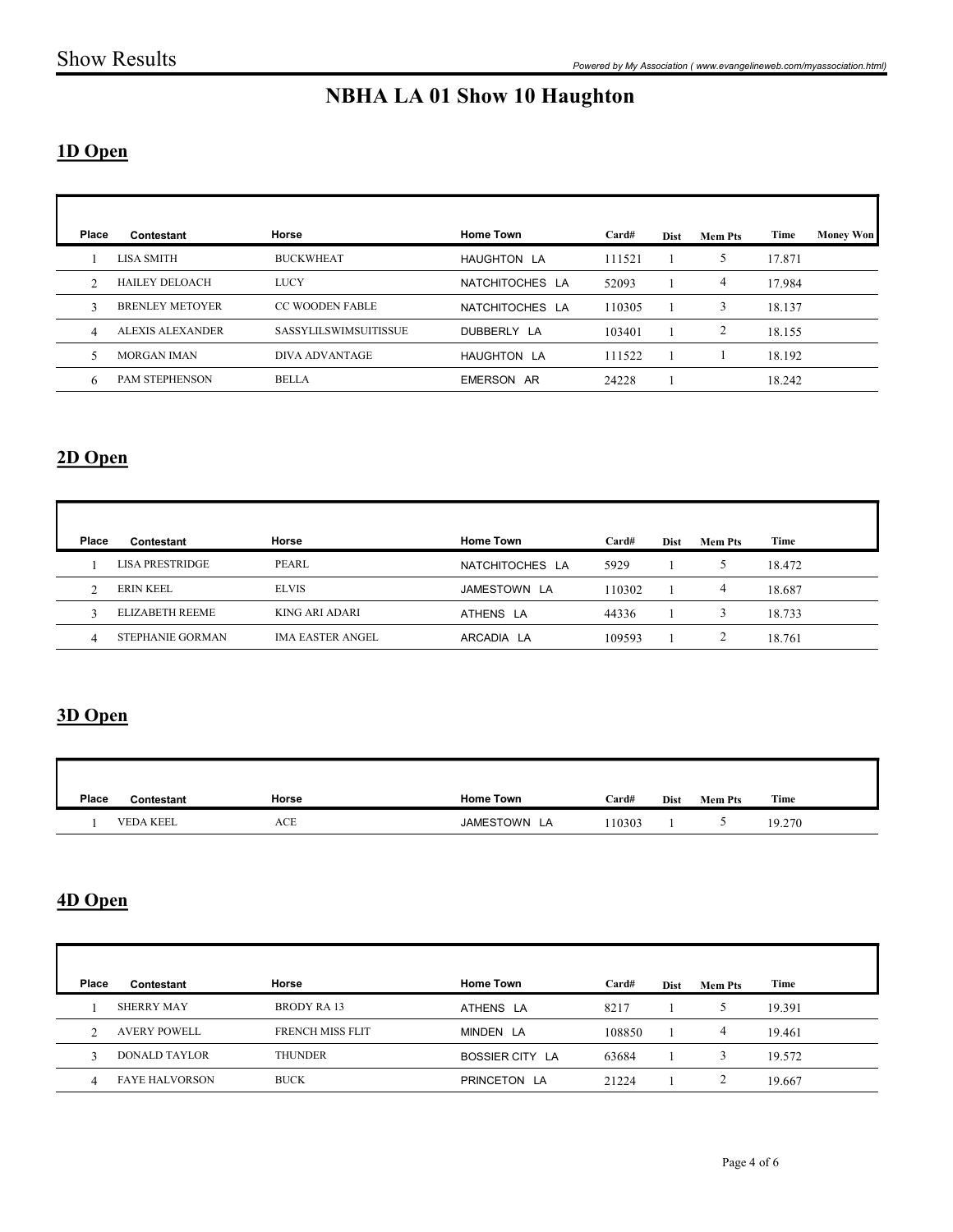#### 1D Open

|                |                        |                         | <b>NBHA LA 01 Show 10 Haughton</b> |        |              |                 |        |                  |
|----------------|------------------------|-------------------------|------------------------------------|--------|--------------|-----------------|--------|------------------|
| 1D Open        |                        |                         |                                    |        |              |                 |        |                  |
| Place          | Contestant             | Horse                   | <b>Home Town</b>                   | Card#  | <b>Dist</b>  | <b>Mem Pts</b>  | Time   | <b>Money Won</b> |
| -1             | LISA SMITH             | <b>BUCKWHEAT</b>        | HAUGHTON LA                        | 111521 | -1           | 5               | 17.871 |                  |
| 2              | HAILEY DELOACH         | LUCY                    | NATCHITOCHES LA                    | 52093  | $\mathbf{1}$ | $\overline{4}$  | 17.984 |                  |
| 3              | <b>BRENLEY METOYER</b> | CC WOODEN FABLE         | NATCHITOCHES LA                    | 110305 | -1           | $\mathbf{3}$    | 18.137 |                  |
| $\overline{4}$ | ALEXIS ALEXANDER       | SASSYLILSWIMSUITISSUE   | DUBBERLY LA                        | 103401 | $\mathbf{1}$ | $\overline{2}$  | 18.155 |                  |
| 5              | MORGAN IMAN            | DIVA ADVANTAGE          | HAUGHTON LA                        | 111522 | $\mathbf{1}$ | $\mathbf{1}$    | 18.192 |                  |
| 6              | PAM STEPHENSON         | <b>BELLA</b>            | EMERSON AR                         | 24228  | -1           |                 | 18.242 |                  |
| 2D Open        |                        |                         |                                    |        |              |                 |        |                  |
| Place          | Contestant             | Horse                   | <b>Home Town</b>                   | Card#  | Dist         | <b>Mem Pts</b>  | Time   |                  |
| $\mathbf{1}$   | <b>LISA PRESTRIDGE</b> | PEARL                   | NATCHITOCHES LA                    | 5929   | $\mathbf{1}$ | $5\overline{)}$ | 18.472 |                  |
| 2              | <b>ERIN KEEL</b>       | <b>ELVIS</b>            | JAMESTOWN LA                       | 110302 | $\mathbf{1}$ | $\overline{4}$  | 18.687 |                  |
| $\mathbf{3}$   | ELIZABETH REEME        | KING ARI ADARI          | ATHENS LA                          | 44336  | $\mathbf{1}$ | $\mathbf{3}$    | 18.733 |                  |
| $\overline{4}$ | STEPHANIE GORMAN       | <b>IMA EASTER ANGEL</b> | ARCADIA LA                         | 109593 | $\mathbf{1}$ | $\overline{2}$  | 18.761 |                  |

### 2D Open

| 2D Open          |                        |                         |                  |        |              |                 |        |
|------------------|------------------------|-------------------------|------------------|--------|--------------|-----------------|--------|
| Place            | Contestant             | Horse                   | <b>Home Town</b> | Card#  | Dist         | <b>Mem Pts</b>  | Time   |
|                  | <b>LISA PRESTRIDGE</b> | PEARL                   | NATCHITOCHES LA  | 5929   | 1            | $5\overline{)}$ | 18.472 |
| 2                | <b>ERIN KEEL</b>       | <b>ELVIS</b>            | JAMESTOWN LA     | 110302 | $\mathbf{1}$ | $\overline{4}$  | 18.687 |
| 3                | <b>ELIZABETH REEME</b> | KING ARI ADARI          | ATHENS LA        | 44336  |              | $\mathbf{3}$    | 18.733 |
| $\overline{4}$   | STEPHANIE GORMAN       | <b>IMA EASTER ANGEL</b> | ARCADIA LA       | 109593 | 1            | $\overline{2}$  | 18.761 |
| 3D Open<br>Place | Contestant             | Horse                   | <b>Home Town</b> | Card#  | Dist         | <b>Mem Pts</b>  | Time   |
|                  | VEDA KEEL              | $\rm{ACE}$              | JAMESTOWN LA     | 110303 | 1            | 5 <sub>5</sub>  | 19.270 |
| 4D Open          |                        |                         |                  |        |              |                 |        |

#### 3D Open

| Place | Contestant       | Horse | <b>Home Town</b> | Card#  | Dist | <b>Mem Pts</b> | Time   |
|-------|------------------|-------|------------------|--------|------|----------------|--------|
|       | <b>VEDA KEEL</b> | ACE   | JAMESTOWN LA     | 110303 |      |                | 19.270 |

#### 4D Open

|                     | ELIZABETH REEME                      | KING ARI ADARI              | ATHENS LA                    | 44336           |                              | $\mathbf{3}$                   | 18.733           |  |
|---------------------|--------------------------------------|-----------------------------|------------------------------|-----------------|------------------------------|--------------------------------|------------------|--|
| 4                   | STEPHANIE GORMAN                     | <b>IMA EASTER ANGEL</b>     | ARCADIA LA                   | 109593          | 1                            | $\overline{2}$                 | 18.761           |  |
| 3D Open             |                                      |                             |                              |                 |                              |                                |                  |  |
| Place               | Contestant                           | Horse                       | <b>Home Town</b>             | Card#           |                              | Dist Mem Pts                   | Time             |  |
|                     |                                      |                             |                              |                 |                              |                                |                  |  |
| $\mathbf{1}$        | <b>VEDA KEEL</b>                     | $\rm{ACE}$                  | JAMESTOWN LA                 | 110303          | $\mathbf{1}$                 | $5\overline{)}$                | 19.270           |  |
| 4D Open             |                                      |                             |                              |                 |                              |                                |                  |  |
| Place               | Contestant                           | Horse                       | <b>Home Town</b>             | Card#           | Dist                         | <b>Mem Pts</b>                 | Time             |  |
|                     | <b>SHERRY MAY</b>                    | <b>BRODY RA13</b>           | ATHENS LA                    | 8217            | 1                            | $5\overline{)}$                | 19.391           |  |
| 2<br>$\mathfrak{Z}$ | <b>AVERY POWELL</b><br>DONALD TAYLOR | FRENCH MISS FLIT<br>THUNDER | MINDEN LA<br>BOSSIER CITY LA | 108850<br>63684 | $\mathbf{1}$<br>$\mathbf{1}$ | $\overline{4}$<br>$\mathbf{3}$ | 19.461<br>19.572 |  |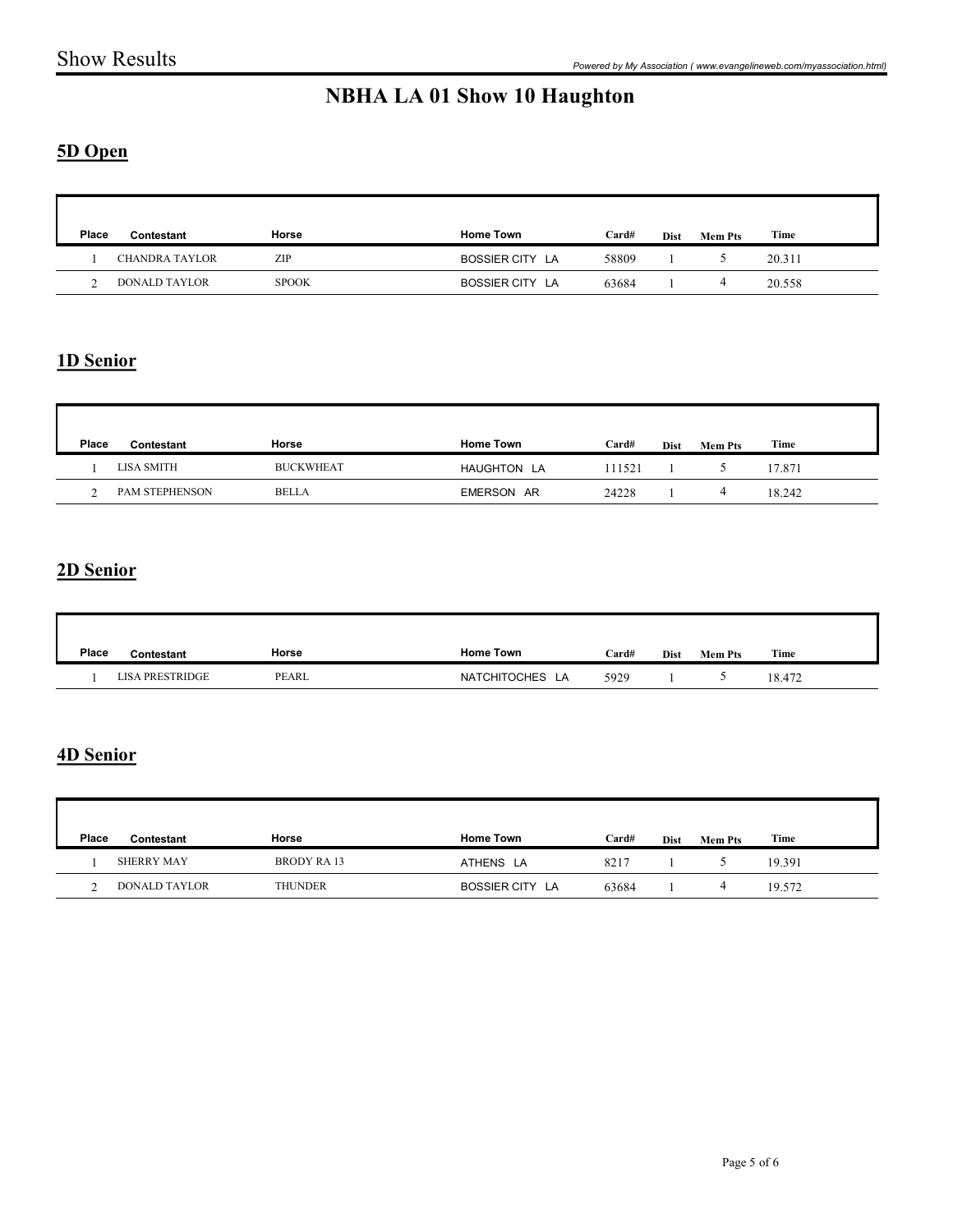#### 5D Open

|                                                              |                  |                                     |                |                      |                              | Powered by My Association (www.evangelineweb.com/myassociation.html) |
|--------------------------------------------------------------|------------------|-------------------------------------|----------------|----------------------|------------------------------|----------------------------------------------------------------------|
|                                                              |                  | <b>NBHA LA 01 Show 10 Haughton</b>  |                |                      |                              |                                                                      |
| 5D Open                                                      |                  |                                     |                |                      |                              |                                                                      |
|                                                              |                  |                                     |                |                      |                              |                                                                      |
| Place<br>Contestant<br><b>CHANDRA TAYLOR</b><br>$\mathbf{1}$ | Horse<br>ZIP     | <b>Home Town</b><br>BOSSIER CITY LA | Card#<br>58809 | Dist<br>$\mathbf{1}$ | <b>Mem Pts</b><br>$\sqrt{5}$ | Time<br>20.311                                                       |
| 2<br><b>DONALD TAYLOR</b>                                    | <b>SPOOK</b>     | BOSSIER CITY LA                     | 63684          | $\mathbf{1}$         | $\overline{4}$               | 20.558                                                               |
|                                                              |                  |                                     |                |                      |                              |                                                                      |
| 1D Senior                                                    |                  |                                     |                |                      |                              |                                                                      |
|                                                              |                  |                                     |                |                      |                              |                                                                      |
| Place<br>Contestant                                          | Horse            | <b>Home Town</b>                    | Card#          | Dist                 | <b>Mem Pts</b>               | Time                                                                 |
| <b>LISA SMITH</b><br>$\mathbf{1}$                            | <b>BUCKWHEAT</b> | HAUGHTON LA                         | 111521         | 1                    | 5 <sub>5</sub>               | 17.871                                                               |
|                                                              |                  |                                     |                |                      | $\overline{4}$               | 18.242                                                               |

#### 1D Senior

| <b>DONALD TAYLOR</b><br>2        | <b>SPOOK</b>     | BOSSIER CITY LA  | 63684  |      | $\overline{4}$ | 20.558 |  |
|----------------------------------|------------------|------------------|--------|------|----------------|--------|--|
|                                  |                  |                  |        |      |                |        |  |
| 1D Senior                        |                  |                  |        |      |                |        |  |
|                                  |                  |                  |        |      |                |        |  |
| Place<br>Contestant              | Horse            | <b>Home Town</b> | Card#  | Dist | <b>Mem Pts</b> | Time   |  |
| <b>LISA SMITH</b>                | <b>BUCKWHEAT</b> | HAUGHTON LA      | 111521 |      | 5              | 17.871 |  |
| PAM STEPHENSON<br>2              | <b>BELLA</b>     | EMERSON AR       | 24228  | 1    | $\overline{4}$ | 18.242 |  |
| 2D Senior<br>Place<br>Contestant | Horse            | <b>Home Town</b> | Card#  |      | Dist Mem Pts   | Time   |  |
| <b>LISA PRESTRIDGE</b>           | PEARL            | NATCHITOCHES LA  | 5929   | -1   | 5              | 18.472 |  |
|                                  |                  |                  |        |      |                |        |  |
|                                  |                  |                  |        |      |                |        |  |
| 4D Senior                        |                  |                  |        |      |                |        |  |

#### 2D Senior

| Place | Contestant             | Horse | <b>Home Town</b> | Card# | Dist | <b>Mem Pts</b> | Time   |
|-------|------------------------|-------|------------------|-------|------|----------------|--------|
|       | <b>LISA PRESTRIDGE</b> | PEARL | NATCHITOCHES LA  | 5929  |      |                | 18.472 |

#### 4D Senior

|                    | <b>LISA SMITH</b>      | <b>BUCKWHEAT</b>              | HAUGHTON LA      | 111521 |              | $5\overline{)}$ | 17.871 |
|--------------------|------------------------|-------------------------------|------------------|--------|--------------|-----------------|--------|
|                    | 2 PAM STEPHENSON       | <b>BELLA</b>                  | EMERSON AR       | 24228  | 1            | $\overline{4}$  | 18.242 |
|                    |                        |                               |                  |        |              |                 |        |
| 2D Senior          |                        |                               |                  |        |              |                 |        |
|                    |                        |                               |                  |        |              |                 |        |
| Place              | Contestant             | Horse                         | <b>Home Town</b> | Card#  | Dist         | <b>Mem Pts</b>  | Time   |
|                    | <b>LISA PRESTRIDGE</b> | $\ensuremath{\mathsf{PEARL}}$ | NATCHITOCHES LA  | 5929   |              | $\mathfrak{S}$  | 18.472 |
| 4D Senior<br>Place | Contestant             | Horse                         | <b>Home Town</b> | Card#  | Dist         | <b>Mem Pts</b>  | Time   |
| 1                  | SHERRY MAY             | <b>BRODY RA13</b>             | ATHENS LA        | 8217   | 1            | $5\overline{)}$ | 19.391 |
| 2                  | DONALD TAYLOR          | THUNDER                       | BOSSIER CITY LA  | 63684  | $\mathbf{1}$ | $\overline{4}$  | 19.572 |
|                    |                        |                               |                  |        |              |                 |        |
|                    |                        |                               |                  |        |              |                 |        |
|                    |                        |                               |                  |        |              |                 |        |
|                    |                        |                               |                  |        |              |                 |        |
|                    |                        |                               |                  |        |              |                 |        |